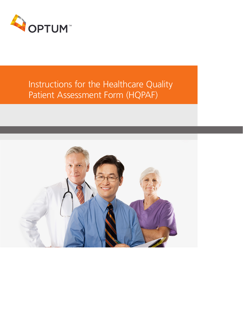

# Instructions for the Healthcare Quality Patient Assessment Form (HQPAF)

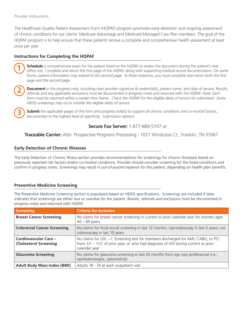**1**

**2**

**3**

The Healthcare Quality Patient Assessment Form (HQPAF) program promotes early detection and ongoing assessment of chronic conditions for our clients' Medicare Advantage and Medicaid Managed Care Plan members. The goal of the HQPAF program is to help ensure that these patients receive a complete and comprehensive health assessment at least once per year.

# **Instructions for Completing the HQPAF**

**Schedule** a comprehensive exam for the patient listed on the HQPAF or review the document during the patient's next office visit. Complete and return the first page of the HQPAF along with supporting medical record documentation. *On some forms, patient information may extend to the second page. In these instances, you must complete and return both the first page and the second page.*

**Document** in the progress note, including clear provider signature & credential(s), patient name, and date of service. Results, referrals and any applicable exclusions must be documented in progress notes and returned with the HQPAF. *Note: Each*  form must be returned within a certain time frame. Check the HQPAF for the eligible dates of service for submission. Some *HEDIS screenings may occur outside the eligible dates of service*

**Submit** the applicable pages of the form and progress note(s) to support all chronic conditions and co-morbid factors, documented to the highest level of specificity. Submission options:

# **Secure Fax Server:** 1-877-889-5747 *or*

**Traceable Carrier:** Attn. Prospective Programs Processing - 1021 Windcross Ct., Franklin, TN 37067

### **Early Detection of Chronic Illnesses**

The Early Detection of Chronic Illness section provides recommendations for screenings for chronic illness(es) based on previously reported risk factors and/or co-morbid conditions. Provider should consider screening for the listed conditions and confirm in progress notes. *Screenings may result in out-of-pocket expense for the patient, depending on health plan benefits.*

#### **Preventive Medicine Screening**

The Preventive Medicine Screening section is populated based on HEDIS specifications. Screenings are included if data indicates that screenings are either due or overdue for the patient. Results, referrals and exclusions must be documented in progress notes and returned with HQPAF.

| Screening                                                    | <b>Criteria for Inclusion</b>                                                                                                                                                              |
|--------------------------------------------------------------|--------------------------------------------------------------------------------------------------------------------------------------------------------------------------------------------|
| <b>Breast Cancer Screening</b>                               | No claims for breast cancer screening in current or prior calendar year for women ages<br>$40 - 69$ years                                                                                  |
| <b>Colorectal Cancer Screening</b>                           | No claims for fecal occult screening in last 12 months; sigmoidoscopy in last 5 years; nor<br>colonoscopy in last 10 years                                                                 |
| <b>Cardiovascular Care -</b><br><b>Cholesterol Screening</b> | No claims for LDL - C Screening test for members discharged for AMI, CABG, or PCI<br>from $1/1 - 11/1$ of prior year, or who had diagnosis of IVD during current or prior<br>calendar year |
| <b>Glaucoma Screening</b>                                    | No claims for glaucoma screening in last 24 months from eye care professional (i.e.,<br>ophthalmologist, optometrist)                                                                      |
| <b>Adult Body Mass Index (BMI)</b>                           | Adults 18 - 74 at each outpatient visit                                                                                                                                                    |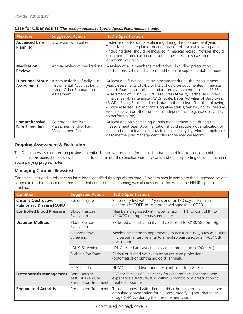| <b>Measure</b>                                | <b>Suggested Action</b>                                                                                         | <b>HEDIS Specification</b>                                                                                                                                                                                                                                                                                                                                                                                                                                                                                                                                                                                              |
|-----------------------------------------------|-----------------------------------------------------------------------------------------------------------------|-------------------------------------------------------------------------------------------------------------------------------------------------------------------------------------------------------------------------------------------------------------------------------------------------------------------------------------------------------------------------------------------------------------------------------------------------------------------------------------------------------------------------------------------------------------------------------------------------------------------------|
| <b>Advanced Care</b><br><b>Planning</b>       | Discussion with patient                                                                                         | Evidence of advance care planning during the measurement year.<br>The advanced care plan or documentation of discussion with patient<br>(including date) should be included in medical record. Provider should<br>document in medical record if a member previously executed an<br>advanced care plan                                                                                                                                                                                                                                                                                                                   |
| <b>Medication</b><br><b>Review</b>            | Annual review of medications                                                                                    | A review of all a member's medications, including prescription<br>medications, OTC medications and herbal or supplemental therapies.                                                                                                                                                                                                                                                                                                                                                                                                                                                                                    |
| <b>Functional Status</b><br><b>Assessment</b> | Assess activities of daily living;<br>Instrumental Activities Daily<br>Living; Other Standardized<br>Assessment | At least one functional status assessment during the measurement<br>year. Assessments of ADL or IADL should be documented in medical<br>record. Examples of other standardized assessment includes: SF-36,<br>Assessment of Living Skills & Resources (ALSAR), Barthel ADL Index<br>Physical Self-Maintenance (ADLS) Scale, Bayer Activities of Daily Living<br>(B-ADL) Scale, Barthel Index). Notation that at least 3 of the following<br>4 were assessed is compliant: Cognitive status, Sensory ability (hearing,<br>vision, speech) or other functional independence (e.g. exercise, ability<br>to perform a job). |
| Comprehensive<br><b>Pain Screening</b>        | Comprehensive Pain<br>Assessment and/or Pain<br>Management Plan                                                 | At least one pain screening or pain management plan during the<br>measurement year. Documentation should include a quantification of<br>pain and determination of how it impacts everyday living. If applicable,<br>describe the pain management plan in the medical record.                                                                                                                                                                                                                                                                                                                                            |

#### **Care for Older Adults** *(This section applies to Special Needs Plans members only)*

# **Ongoing Assessment & Evaluation**

The Ongoing Assessment section provides potential diagnosis information for the patient based on risk factors or comorbid conditions. Providers should assess the patient to determine if the condition currently exists and send supporting documentation in accompanying progress notes.

## **Managing Chronic Illness(es)**

Conditions included in this section have been identified through claims data. Providers should complete the suggested actions or send in medical record documentation that confirms the screening was already completed within the HEDIS specified timeline.

| <b>Condition</b>                                              | <b>Suggested Action</b>                                            | <b>HEDIS Specification</b>                                                                                                                                                       |
|---------------------------------------------------------------|--------------------------------------------------------------------|----------------------------------------------------------------------------------------------------------------------------------------------------------------------------------|
| <b>Chronic Obstructive</b><br><b>Pulmonary Disease (COPD)</b> | Spirometry Test                                                    | Spirometry test within 2 years prior or 180 days after initial<br>diagnosis of COPD to confirm new diagnosis of COPD.                                                            |
| <b>Controlled Blood Pressure</b>                              | <b>Blood Pressure</b><br>Evaluation                                | Members diagnosed with hypertension (HTN) to control BP to<br><140/90 during the measurement year.                                                                               |
| <b>Diabetes Mellitus</b>                                      | <b>Blood Pressure</b><br>Evaluation                                | BP tested at least annually and controlled to < (130/80) mm Hg                                                                                                                   |
|                                                               | Nephropathy<br>Screening                                           | Medical attention to nephropathy to occur annually, such as a urine<br>microalbumin test, referral to a nephrologist and/or an ACE/ARB<br>prescription                           |
|                                                               | LDL-C Screening                                                    | LDL-C tested at least annually and controlled to (<100mg/dl)                                                                                                                     |
|                                                               | Diabetic Eye Exam                                                  | Retinal or dilated eye exam by an eye care professional<br>(optometrist or ophthalmologist) annually                                                                             |
|                                                               | <b>HbA1c Testing</b>                                               | HbA1C tested at least annually, controlled to $\langle$ <8.0%)                                                                                                                   |
| <b>Osteoporosis Management</b>                                | <b>Bone Density</b><br>Test (BDT) and/or<br>Prescription Treatment | BDT for females 65+ to check for osteoporosis. For those who<br>experience a fracture, BDT within 6 months or a prescription to<br>treat osteoporosis.                           |
| <b>Rheumatoid Arthritis</b>                                   | Prescription Treatment                                             | Those diagnosed with rheumatoid arthritis to receive at least one<br>ambulatory prescription for a disease modifying anti-rheumatic<br>drug (DMARD) during the measurement year. |